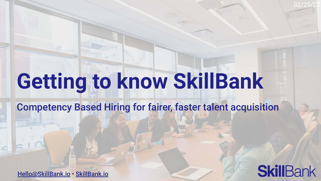Getting to know SkillBank

Competency Based Hiring for fairer, faster talent acquisition

[Hello@SkillBank.io](mailto:Hello@SkillBank.io) • [SkillBank.io](https://skillbank.io)



02/25/22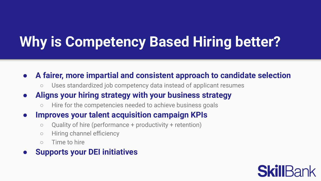# Why is Competency Based Hiring better?

- A fairer, more impartial and consistent approach to candidate selection
	- Uses standardized job competency data instead of applicant resumes
- Aligns your hiring strategy with your business strategy
	- Hire for the competencies needed to achieve business goals
- Improves your talent acquisition campaign KPIs
	- Quality of hire (performance + productivity + retention)
	- Hiring channel efficiency
	- Time to hire
- **Supports your DEI initiatives**

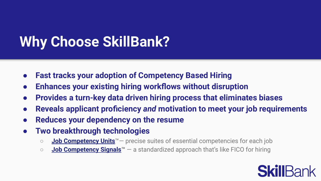# Why Choose SkillBank?

- Fast tracks your adoption of Competency Based Hiring
- Enhances your existing hiring workflows without disruption
- Provides a turn-key data driven hiring process that eliminates biases
- Reveals applicant proficiency and motivation to meet your job requirements
- Reduces your dependency on the resume
- Two breakthrough technologies
	- **[Job Competency Units](http://skillbank.io/jcu)**<sup>™</sup> precise suites of essential competencies for each job
	- $\circ$  [Job Competency Signals](http://skillbank.io/jcs)<sup> $m$ </sup> a standardized approach that's like FICO for hiring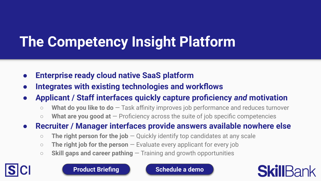# The Competency Insight Platform

- Enterprise ready cloud native SaaS platform
- Integrates with existing technologies and workflows
- Applicant / Staff interfaces quickly capture proficiency and motivation
	- $\circ$  What do you like to do  $-$  Task affinity improves job performance and reduces turnover
	- $\circ$  What are you good at  $-$  Proficiency across the suite of job specific competencies
- Recruiter / Manager interfaces provide answers available nowhere else
	- $\circ$  The right person for the job  $\sim$  Quickly identify top candidates at any scale
	- $\circ$  The right job for the person  $-$  Evaluate every applicant for every job
	- $\circ$  Skill gaps and career pathing  $-$  Training and growth opportunities



[Product Briefing](https://docs.google.com/presentation/d/e/2PACX-1vSWcofDbdLSos3vjJ7QrKeTRtgWFG8Op5HOqArPvnY3e27YEoa5HX6awiG_Jy4Y4A2ShjMxAKJfCKi_/pub?start=false&loop=false&delayms=10000) **National [Schedule a demo](https://go.oncehub.com/skillbankdemo)** 

**SkillBar**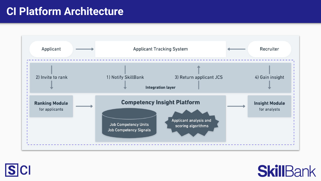## CI Platform Architecture





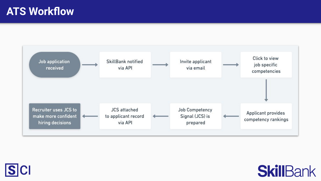### **ATS Workflow**